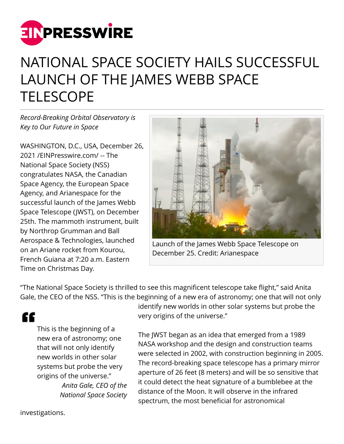

## NATIONAL SPACE SOCIETY HAILS SUCCESSFUL LAUNCH OF THE JAMES WEBB SPACE **TELESCOPE**

*Record-Breaking Orbital Observatory is Key to Our Future in Space*

WASHINGTON, D.C., USA, December 26, 2021 /[EINPresswire.com](http://www.einpresswire.com)/ -- The National Space Society (NSS) congratulates NASA, the Canadian Space Agency, the European Space Agency, and Arianespace for the successful launch of the James Webb Space Telescope (JWST), on December 25th. The mammoth instrument, built by Northrop Grumman and Ball Aerospace & Technologies, launched on an Ariane rocket from Kourou, French Guiana at 7:20 a.m. Eastern Time on Christmas Day.



Launch of the James Webb Space Telescope on December 25. Credit: Arianespace

"The National Space Society is thrilled to see this magnificent telescope take flight," said Anita Gale, the CEO of the NSS. "This is the beginning of a new era of astronomy; one that will not only

"

This is the beginning of a new era of astronomy; one that will not only identify new worlds in other solar systems but probe the very origins of the universe." *Anita Gale, CEO of the National Space Society*

identify new worlds in other solar systems but probe the very origins of the universe."

The JWST began as an idea that emerged from a 1989 NASA workshop and the design and construction teams were selected in 2002, with construction beginning in 2005. The record-breaking space telescope has a primary mirror aperture of 26 feet (8 meters) and will be so sensitive that it could detect the heat signature of a bumblebee at the distance of the Moon. It will observe in the infrared spectrum, the most beneficial for astronomical

investigations.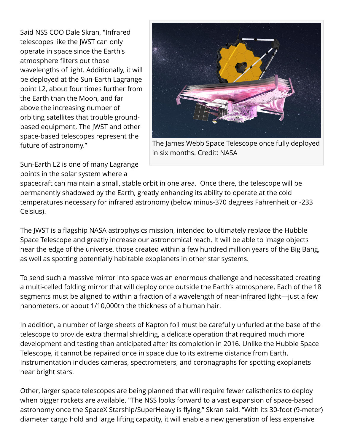Said NSS COO Dale Skran, "Infrared telescopes like the JWST can only operate in space since the Earth's atmosphere filters out those wavelengths of light. Additionally, it will be deployed at the Sun-Earth Lagrange point L2, about four times further from the Earth than the Moon, and far above the increasing number of orbiting satellites that trouble groundbased equipment. The JWST and other space-based telescopes represent the future of astronomy."



The James Webb Space Telescope once fully deployed in six months. Credit: NASA

Sun-Earth L2 is one of many Lagrange points in the solar system where a

spacecraft can maintain a small, stable orbit in one area. Once there, the telescope will be permanently shadowed by the Earth, greatly enhancing its ability to operate at the cold temperatures necessary for infrared astronomy (below minus-370 degrees Fahrenheit or -233 Celsius).

The JWST is a flagship NASA astrophysics mission, intended to ultimately replace the Hubble Space Telescope and greatly increase our astronomical reach. It will be able to image objects near the edge of the universe, those created within a few hundred million years of the Big Bang, as well as spotting potentially habitable exoplanets in other star systems.

To send such a massive mirror into space was an enormous challenge and necessitated creating a multi-celled folding mirror that will deploy once outside the Earth's atmosphere. Each of the 18 segments must be aligned to within a fraction of a wavelength of near-infrared light—just a few nanometers, or about 1/10,000th the thickness of a human hair.

In addition, a number of large sheets of Kapton foil must be carefully unfurled at the base of the telescope to provide extra thermal shielding, a delicate operation that required much more development and testing than anticipated after its completion in 2016. Unlike the Hubble Space Telescope, it cannot be repaired once in space due to its extreme distance from Earth. Instrumentation includes cameras, spectrometers, and coronagraphs for spotting exoplanets near bright stars.

Other, larger space telescopes are being planned that will require fewer calisthenics to deploy when bigger rockets are available. "The NSS looks forward to a vast expansion of space-based astronomy once the SpaceX Starship/SuperHeavy is flying," Skran said. "With its 30-foot (9-meter) diameter cargo hold and large lifting capacity, it will enable a new generation of less expensive